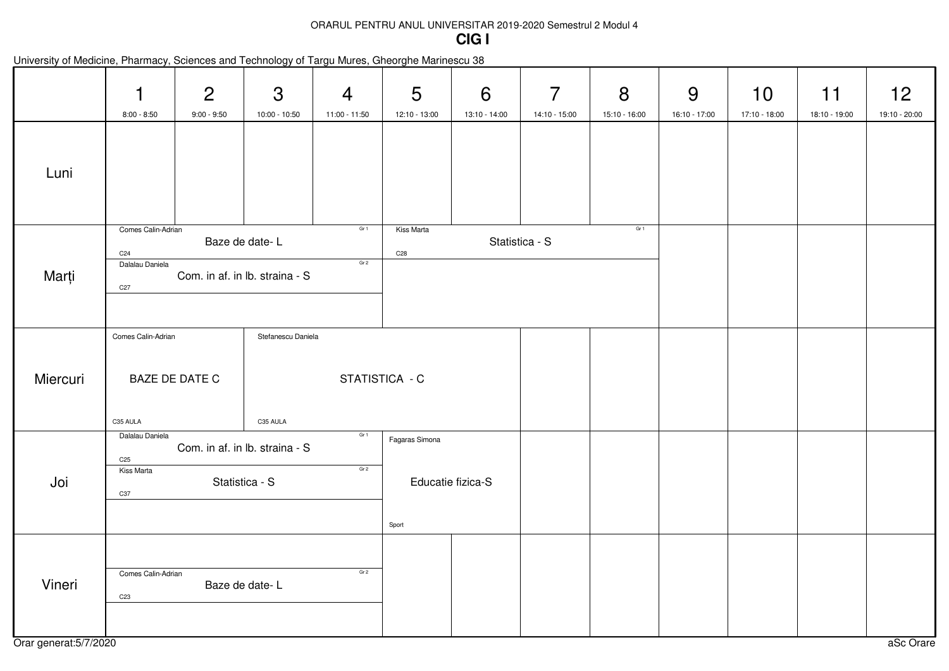## ORARUL PENTRU ANUL UNIVERSITAR 2019-2020 Semestrul 2 Modul 4**CIG I**

|          | 1<br>$8:00 - 8:50$                                                                                                                                | $\overline{2}$<br>$9:00 - 9:50$                  | 3<br>10:00 - 10:50 | $\overline{4}$<br>11:00 - 11:50 | 5<br>12:10 - 13:00                           | 6<br>13:10 - 14:00 | 7<br>14:10 - 15:00 | 8<br>15:10 - 16:00 | 9<br>16:10 - 17:00 | 10<br>17:10 - 18:00 | 11<br>18:10 - 19:00 | 12<br>19:10 - 20:00 |
|----------|---------------------------------------------------------------------------------------------------------------------------------------------------|--------------------------------------------------|--------------------|---------------------------------|----------------------------------------------|--------------------|--------------------|--------------------|--------------------|---------------------|---------------------|---------------------|
| Luni     |                                                                                                                                                   |                                                  |                    |                                 |                                              |                    |                    |                    |                    |                     |                     |                     |
| Marți    | Comes Calin-Adrian<br>C <sub>24</sub><br>Dalalau Daniela<br>C <sub>27</sub>                                                                       | Baze de date-L<br>Com. in af. in lb. straina - S |                    | Gr 1<br>Gr <sub>2</sub>         | Kiss Marta<br>C <sub>28</sub>                |                    | Statistica - S     | Gr 1               |                    |                     |                     |                     |
| Miercuri | Comes Calin-Adrian<br>Stefanescu Daniela<br>STATISTICA - C<br>BAZE DE DATE C<br>C35 AULA<br>C35 AULA                                              |                                                  |                    |                                 |                                              |                    |                    |                    |                    |                     |                     |                     |
| Joi      | Gr <sub>1</sub><br>Dalalau Daniela<br>Com. in af. in lb. straina - S<br>C <sub>25</sub><br>Gr <sub>2</sub><br>Kiss Marta<br>Statistica - S<br>C37 |                                                  |                    |                                 | Fagaras Simona<br>Educatie fizica-S<br>Sport |                    |                    |                    |                    |                     |                     |                     |
| Vineri   | Comes Calin-Adrian<br>C <sub>23</sub>                                                                                                             | Baze de date-L                                   |                    | Gr <sub>2</sub>                 |                                              |                    |                    |                    |                    |                     |                     |                     |

|  |  |  | University of Medicine, Pharmacy, Sciences and Technology of Targu Mures, Gheorghe Marinescu 38 |
|--|--|--|-------------------------------------------------------------------------------------------------|
|--|--|--|-------------------------------------------------------------------------------------------------|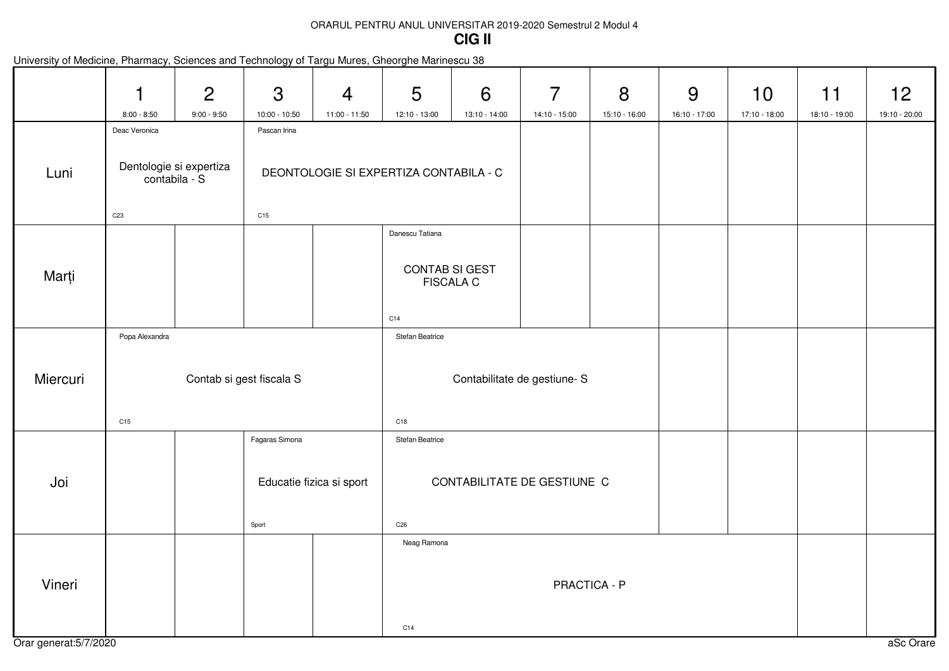### ORARUL PENTRU ANUL UNIVERSITAR 2019-2020 Semestrul 2 Modul 4**CIG II**

|                        | 1<br>$8:00 - 8:50$                       | $\overline{2}$<br>$9:00 - 9:50$ | 3<br>$10:00 - 10:50$     | $\overline{4}$<br>11:00 - 11:50        | 5<br>12:10 - 13:00                 | 6<br>13:10 - 14:00 | $\overline{7}$<br>14:10 - 15:00 | 8<br>15:10 - 16:00 | 9<br>16:10 - 17:00 | 10<br>17:10 - 18:00 | 11<br>18:10 - 19:00 | 12<br>19:10 - 20:00 |
|------------------------|------------------------------------------|---------------------------------|--------------------------|----------------------------------------|------------------------------------|--------------------|---------------------------------|--------------------|--------------------|---------------------|---------------------|---------------------|
|                        | Deac Veronica                            |                                 | Pascan Irina             |                                        |                                    |                    |                                 |                    |                    |                     |                     |                     |
| Luni                   | Dentologie si expertiza<br>contabila - S |                                 |                          | DEONTOLOGIE SI EXPERTIZA CONTABILA - C |                                    |                    |                                 |                    |                    |                     |                     |                     |
|                        | C <sub>23</sub>                          |                                 | C15                      |                                        |                                    |                    |                                 |                    |                    |                     |                     |                     |
|                        |                                          |                                 |                          |                                        | Danescu Tatiana                    |                    |                                 |                    |                    |                     |                     |                     |
| Marți                  |                                          |                                 |                          |                                        | CONTAB SI GEST<br><b>FISCALA C</b> |                    |                                 |                    |                    |                     |                     |                     |
|                        |                                          |                                 |                          |                                        | C14                                |                    |                                 |                    |                    |                     |                     |                     |
|                        | Popa Alexandra                           |                                 |                          |                                        | Stefan Beatrice                    |                    |                                 |                    |                    |                     |                     |                     |
|                        |                                          |                                 |                          |                                        |                                    |                    |                                 |                    |                    |                     |                     |                     |
| Miercuri               |                                          |                                 | Contab si gest fiscala S |                                        | Contabilitate de gestiune- S       |                    |                                 |                    |                    |                     |                     |                     |
|                        | C15                                      |                                 |                          |                                        | C18                                |                    |                                 |                    |                    |                     |                     |                     |
|                        |                                          |                                 | Fagaras Simona           |                                        | <b>Stefan Beatrice</b>             |                    |                                 |                    |                    |                     |                     |                     |
|                        |                                          |                                 |                          |                                        |                                    |                    |                                 |                    |                    |                     |                     |                     |
| Joi                    | Educatie fizica si sport                 |                                 |                          |                                        | CONTABILITATE DE GESTIUNE C        |                    |                                 |                    |                    |                     |                     |                     |
|                        |                                          |                                 |                          |                                        |                                    |                    |                                 |                    |                    |                     |                     |                     |
|                        |                                          |                                 | Sport                    |                                        | C <sub>26</sub>                    |                    |                                 |                    |                    |                     |                     |                     |
|                        |                                          |                                 |                          |                                        | Neag Ramona                        |                    |                                 |                    |                    |                     |                     |                     |
| Vineri                 |                                          |                                 |                          |                                        | PRACTICA - P                       |                    |                                 |                    |                    |                     |                     |                     |
|                        |                                          |                                 |                          |                                        |                                    |                    |                                 |                    |                    |                     |                     |                     |
|                        |                                          |                                 |                          |                                        | C14                                |                    |                                 |                    |                    |                     |                     |                     |
| Orar generat: 5/7/2020 |                                          |                                 |                          |                                        |                                    |                    |                                 |                    |                    |                     |                     | aSc Orare           |

### University of Medicine, Pharmacy, Sciences and Technology of Targu Mures, Gheorghe Marinescu 38